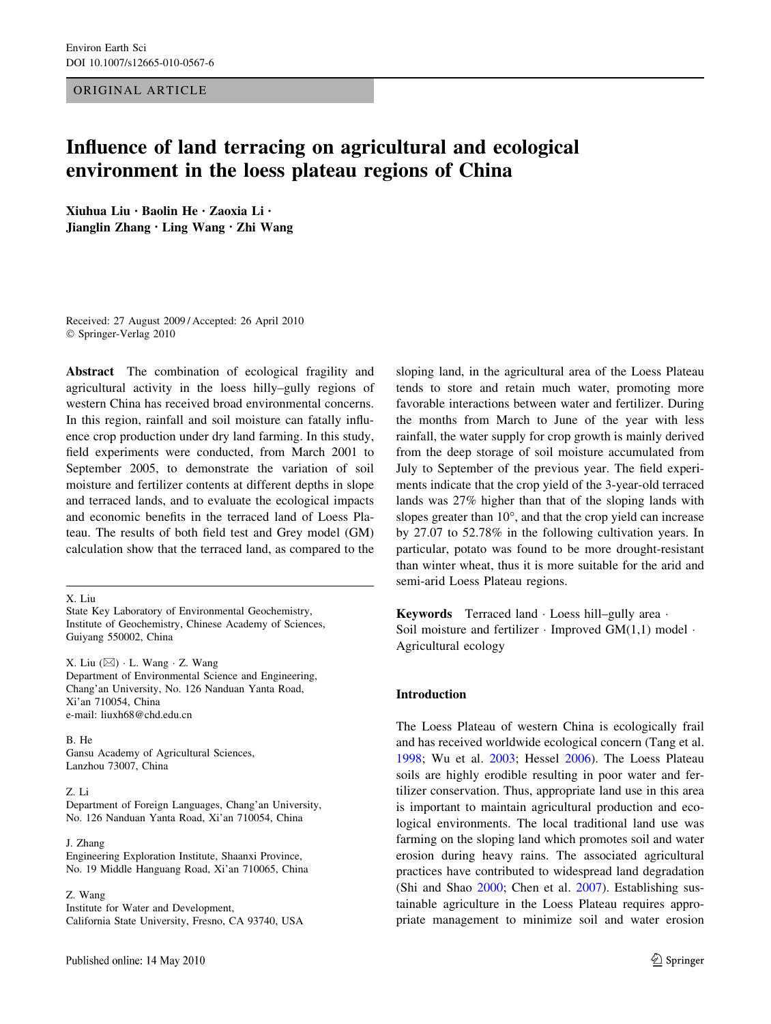## ORIGINAL ARTICLE

# Influence of land terracing on agricultural and ecological environment in the loess plateau regions of China

Xiuhua Liu • Baolin He • Zaoxia Li • Jianglin Zhang • Ling Wang • Zhi Wang

Received: 27 August 2009 / Accepted: 26 April 2010 © Springer-Verlag 2010

Abstract The combination of ecological fragility and agricultural activity in the loess hilly–gully regions of western China has received broad environmental concerns. In this region, rainfall and soil moisture can fatally influence crop production under dry land farming. In this study, field experiments were conducted, from March 2001 to September 2005, to demonstrate the variation of soil moisture and fertilizer contents at different depths in slope and terraced lands, and to evaluate the ecological impacts and economic benefits in the terraced land of Loess Plateau. The results of both field test and Grey model (GM) calculation show that the terraced land, as compared to the

X. Liu

State Key Laboratory of Environmental Geochemistry, Institute of Geochemistry, Chinese Academy of Sciences, Guiyang 550002, China

X. Liu (&) - L. Wang - Z. Wang Department of Environmental Science and Engineering, Chang'an University, No. 126 Nanduan Yanta Road, Xi'an 710054, China e-mail: liuxh68@chd.edu.cn

B. He Gansu Academy of Agricultural Sciences, Lanzhou 73007, China

#### Z. Li

Department of Foreign Languages, Chang'an University, No. 126 Nanduan Yanta Road, Xi'an 710054, China

#### J. Zhang

Engineering Exploration Institute, Shaanxi Province, No. 19 Middle Hanguang Road, Xi'an 710065, China

#### Z. Wang

Institute for Water and Development, California State University, Fresno, CA 93740, USA sloping land, in the agricultural area of the Loess Plateau tends to store and retain much water, promoting more favorable interactions between water and fertilizer. During the months from March to June of the year with less rainfall, the water supply for crop growth is mainly derived from the deep storage of soil moisture accumulated from July to September of the previous year. The field experiments indicate that the crop yield of the 3-year-old terraced lands was 27% higher than that of the sloping lands with slopes greater than  $10^{\circ}$ , and that the crop yield can increase by 27.07 to 52.78% in the following cultivation years. In particular, potato was found to be more drought-resistant than winter wheat, thus it is more suitable for the arid and semi-arid Loess Plateau regions.

Keywords Terraced land · Loess hill-gully area · Soil moisture and fertilizer  $\cdot$  Improved GM(1,1) model  $\cdot$ Agricultural ecology

## Introduction

The Loess Plateau of western China is ecologically frail and has received worldwide ecological concern (Tang et al. [1998](#page-10-0); Wu et al. [2003](#page-10-0); Hessel [2006\)](#page-9-0). The Loess Plateau soils are highly erodible resulting in poor water and fertilizer conservation. Thus, appropriate land use in this area is important to maintain agricultural production and ecological environments. The local traditional land use was farming on the sloping land which promotes soil and water erosion during heavy rains. The associated agricultural practices have contributed to widespread land degradation (Shi and Shao [2000;](#page-10-0) Chen et al. [2007](#page-9-0)). Establishing sustainable agriculture in the Loess Plateau requires appropriate management to minimize soil and water erosion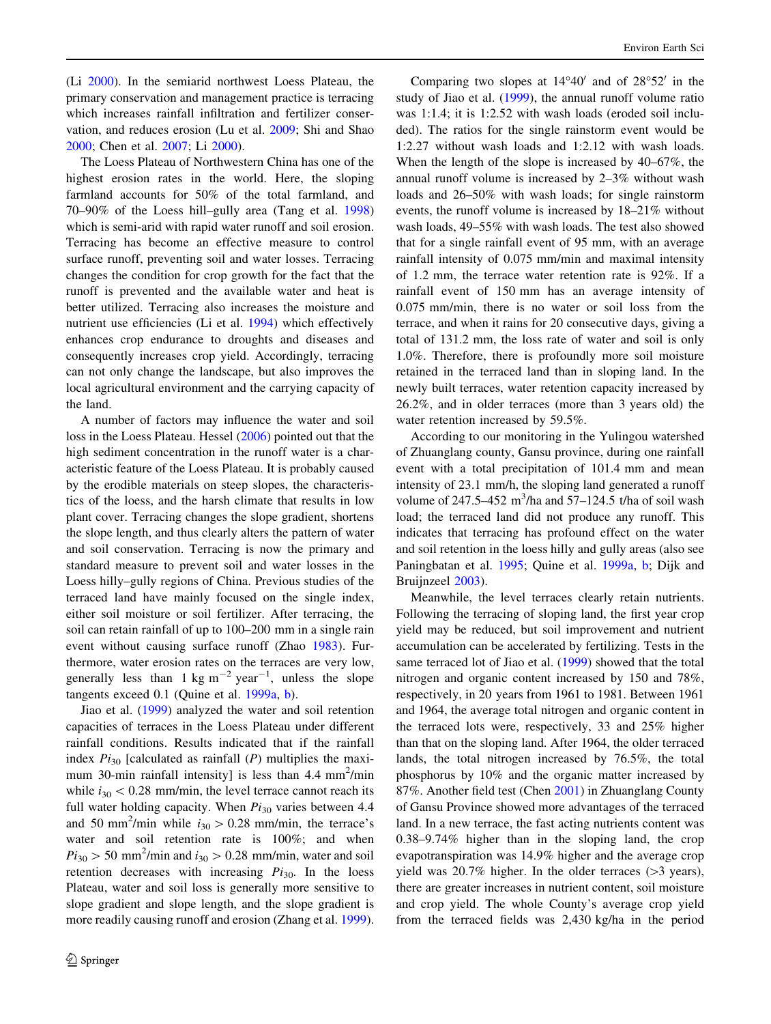(Li [2000\)](#page-10-0). In the semiarid northwest Loess Plateau, the primary conservation and management practice is terracing which increases rainfall infiltration and fertilizer conservation, and reduces erosion (Lu et al. [2009](#page-10-0); Shi and Shao [2000;](#page-10-0) Chen et al. [2007](#page-9-0); Li [2000\)](#page-10-0).

The Loess Plateau of Northwestern China has one of the highest erosion rates in the world. Here, the sloping farmland accounts for 50% of the total farmland, and 70–90% of the Loess hill–gully area (Tang et al. [1998\)](#page-10-0) which is semi-arid with rapid water runoff and soil erosion. Terracing has become an effective measure to control surface runoff, preventing soil and water losses. Terracing changes the condition for crop growth for the fact that the runoff is prevented and the available water and heat is better utilized. Terracing also increases the moisture and nutrient use efficiencies (Li et al. [1994](#page-10-0)) which effectively enhances crop endurance to droughts and diseases and consequently increases crop yield. Accordingly, terracing can not only change the landscape, but also improves the local agricultural environment and the carrying capacity of the land.

A number of factors may influence the water and soil loss in the Loess Plateau. Hessel [\(2006](#page-9-0)) pointed out that the high sediment concentration in the runoff water is a characteristic feature of the Loess Plateau. It is probably caused by the erodible materials on steep slopes, the characteristics of the loess, and the harsh climate that results in low plant cover. Terracing changes the slope gradient, shortens the slope length, and thus clearly alters the pattern of water and soil conservation. Terracing is now the primary and standard measure to prevent soil and water losses in the Loess hilly–gully regions of China. Previous studies of the terraced land have mainly focused on the single index, either soil moisture or soil fertilizer. After terracing, the soil can retain rainfall of up to 100–200 mm in a single rain event without causing surface runoff (Zhao [1983](#page-10-0)). Furthermore, water erosion rates on the terraces are very low, generally less than 1 kg  $m^{-2}$  year<sup>-1</sup>, unless the slope tangents exceed 0.1 (Quine et al. [1999a,](#page-10-0) [b\)](#page-10-0).

Jiao et al. ([1999\)](#page-10-0) analyzed the water and soil retention capacities of terraces in the Loess Plateau under different rainfall conditions. Results indicated that if the rainfall index  $Pi_{30}$  [calculated as rainfall (P) multiplies the maximum 30-min rainfall intensity] is less than 4.4 mm<sup>2</sup>/min while  $i_{30}$  < 0.28 mm/min, the level terrace cannot reach its full water holding capacity. When  $Pi_{30}$  varies between 4.4 and 50 mm<sup>2</sup>/min while  $i_{30} > 0.28$  mm/min, the terrace's water and soil retention rate is 100%; and when  $Pi_{30} > 50$  mm<sup>2</sup>/min and  $i_{30} > 0.28$  mm/min, water and soil retention decreases with increasing  $Pi_{30}$ . In the loess Plateau, water and soil loss is generally more sensitive to slope gradient and slope length, and the slope gradient is more readily causing runoff and erosion (Zhang et al. [1999](#page-10-0)).

Comparing two slopes at  $14^{\circ}40'$  and of  $28^{\circ}52'$  in the study of Jiao et al. [\(1999](#page-10-0)), the annual runoff volume ratio was 1:1.4; it is 1:2.52 with wash loads (eroded soil included). The ratios for the single rainstorm event would be 1:2.27 without wash loads and 1:2.12 with wash loads. When the length of the slope is increased by  $40-67\%$ , the annual runoff volume is increased by 2–3% without wash loads and 26–50% with wash loads; for single rainstorm events, the runoff volume is increased by 18–21% without wash loads, 49–55% with wash loads. The test also showed that for a single rainfall event of 95 mm, with an average rainfall intensity of 0.075 mm/min and maximal intensity of 1.2 mm, the terrace water retention rate is 92%. If a rainfall event of 150 mm has an average intensity of 0.075 mm/min, there is no water or soil loss from the terrace, and when it rains for 20 consecutive days, giving a total of 131.2 mm, the loss rate of water and soil is only 1.0%. Therefore, there is profoundly more soil moisture retained in the terraced land than in sloping land. In the newly built terraces, water retention capacity increased by 26.2%, and in older terraces (more than 3 years old) the water retention increased by 59.5%.

According to our monitoring in the Yulingou watershed of Zhuanglang county, Gansu province, during one rainfall event with a total precipitation of 101.4 mm and mean intensity of 23.1 mm/h, the sloping land generated a runoff volume of  $247.5 - 452$  m<sup>3</sup>/ha and  $57 - 124.5$  t/ha of soil wash load; the terraced land did not produce any runoff. This indicates that terracing has profound effect on the water and soil retention in the loess hilly and gully areas (also see Paningbatan et al. [1995;](#page-10-0) Quine et al. [1999a,](#page-10-0) [b](#page-10-0); Dijk and Bruijnzeel [2003](#page-9-0)).

Meanwhile, the level terraces clearly retain nutrients. Following the terracing of sloping land, the first year crop yield may be reduced, but soil improvement and nutrient accumulation can be accelerated by fertilizing. Tests in the same terraced lot of Jiao et al. [\(1999](#page-10-0)) showed that the total nitrogen and organic content increased by 150 and 78%, respectively, in 20 years from 1961 to 1981. Between 1961 and 1964, the average total nitrogen and organic content in the terraced lots were, respectively, 33 and 25% higher than that on the sloping land. After 1964, the older terraced lands, the total nitrogen increased by 76.5%, the total phosphorus by 10% and the organic matter increased by 87%. Another field test (Chen [2001](#page-9-0)) in Zhuanglang County of Gansu Province showed more advantages of the terraced land. In a new terrace, the fast acting nutrients content was 0.38–9.74% higher than in the sloping land, the crop evapotranspiration was 14.9% higher and the average crop yield was 20.7% higher. In the older terraces ( $>3$  years), there are greater increases in nutrient content, soil moisture and crop yield. The whole County's average crop yield from the terraced fields was 2,430 kg/ha in the period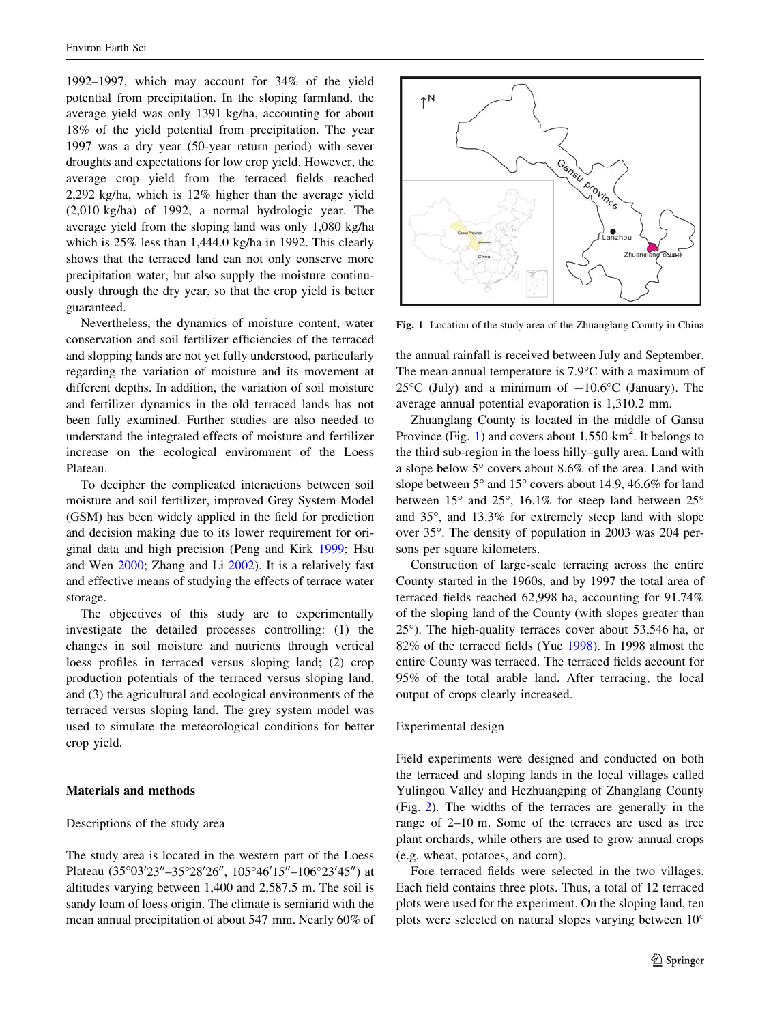1992–1997, which may account for 34% of the yield potential from precipitation. In the sloping farmland, the average yield was only 1391 kg/ha, accounting for about 18% of the yield potential from precipitation. The year 1997 was a dry year (50-year return period) with sever droughts and expectations for low crop yield. However, the average crop yield from the terraced fields reached 2,292 kg/ha, which is 12% higher than the average yield (2,010 kg/ha) of 1992, a normal hydrologic year. The average yield from the sloping land was only 1,080 kg/ha which is 25% less than 1,444.0 kg/ha in 1992. This clearly shows that the terraced land can not only conserve more precipitation water, but also supply the moisture continuously through the dry year, so that the crop yield is better guaranteed.

Nevertheless, the dynamics of moisture content, water conservation and soil fertilizer efficiencies of the terraced and slopping lands are not yet fully understood, particularly regarding the variation of moisture and its movement at different depths. In addition, the variation of soil moisture and fertilizer dynamics in the old terraced lands has not been fully examined. Further studies are also needed to understand the integrated effects of moisture and fertilizer increase on the ecological environment of the Loess Plateau.

To decipher the complicated interactions between soil moisture and soil fertilizer, improved Grey System Model (GSM) has been widely applied in the field for prediction and decision making due to its lower requirement for original data and high precision (Peng and Kirk [1999](#page-10-0); Hsu and Wen [2000](#page-9-0); Zhang and Li [2002\)](#page-10-0). It is a relatively fast and effective means of studying the effects of terrace water storage.

The objectives of this study are to experimentally investigate the detailed processes controlling: (1) the changes in soil moisture and nutrients through vertical loess profiles in terraced versus sloping land; (2) crop production potentials of the terraced versus sloping land, and (3) the agricultural and ecological environments of the terraced versus sloping land. The grey system model was used to simulate the meteorological conditions for better crop yield.

## Materials and methods

#### Descriptions of the study area

The study area is located in the western part of the Loess Plateau (35°03′23″-35°28′26″, 105°46′15″-106°23′45″) at altitudes varying between 1,400 and 2,587.5 m. The soil is sandy loam of loess origin. The climate is semiarid with the mean annual precipitation of about 547 mm. Nearly 60% of



Fig. 1 Location of the study area of the Zhuanglang County in China

the annual rainfall is received between July and September. The mean annual temperature is  $7.9^{\circ}$ C with a maximum of  $25^{\circ}$ C (July) and a minimum of  $-10.6^{\circ}$ C (January). The average annual potential evaporation is 1,310.2 mm.

Zhuanglang County is located in the middle of Gansu Province (Fig. 1) and covers about  $1,550 \text{ km}^2$ . It belongs to the third sub-region in the loess hilly–gully area. Land with a slope below  $5^{\circ}$  covers about 8.6% of the area. Land with slope between  $5^{\circ}$  and  $15^{\circ}$  covers about 14.9, 46.6% for land between  $15^{\circ}$  and  $25^{\circ}$ ,  $16.1\%$  for steep land between  $25^{\circ}$ and  $35^{\circ}$ , and  $13.3\%$  for extremely steep land with slope over 35°. The density of population in 2003 was 204 persons per square kilometers.

Construction of large-scale terracing across the entire County started in the 1960s, and by 1997 the total area of terraced fields reached 62,998 ha, accounting for 91.74% of the sloping land of the County (with slopes greater than  $25^{\circ}$ ). The high-quality terraces cover about 53,546 ha, or 82% of the terraced fields (Yue [1998](#page-10-0)). In 1998 almost the entire County was terraced. The terraced fields account for 95% of the total arable land. After terracing, the local output of crops clearly increased.

## Experimental design

Field experiments were designed and conducted on both the terraced and sloping lands in the local villages called Yulingou Valley and Hezhuangping of Zhanglang County (Fig. [2\)](#page-3-0). The widths of the terraces are generally in the range of 2–10 m. Some of the terraces are used as tree plant orchards, while others are used to grow annual crops (e.g. wheat, potatoes, and corn).

Fore terraced fields were selected in the two villages. Each field contains three plots. Thus, a total of 12 terraced plots were used for the experiment. On the sloping land, ten plots were selected on natural slopes varying between 10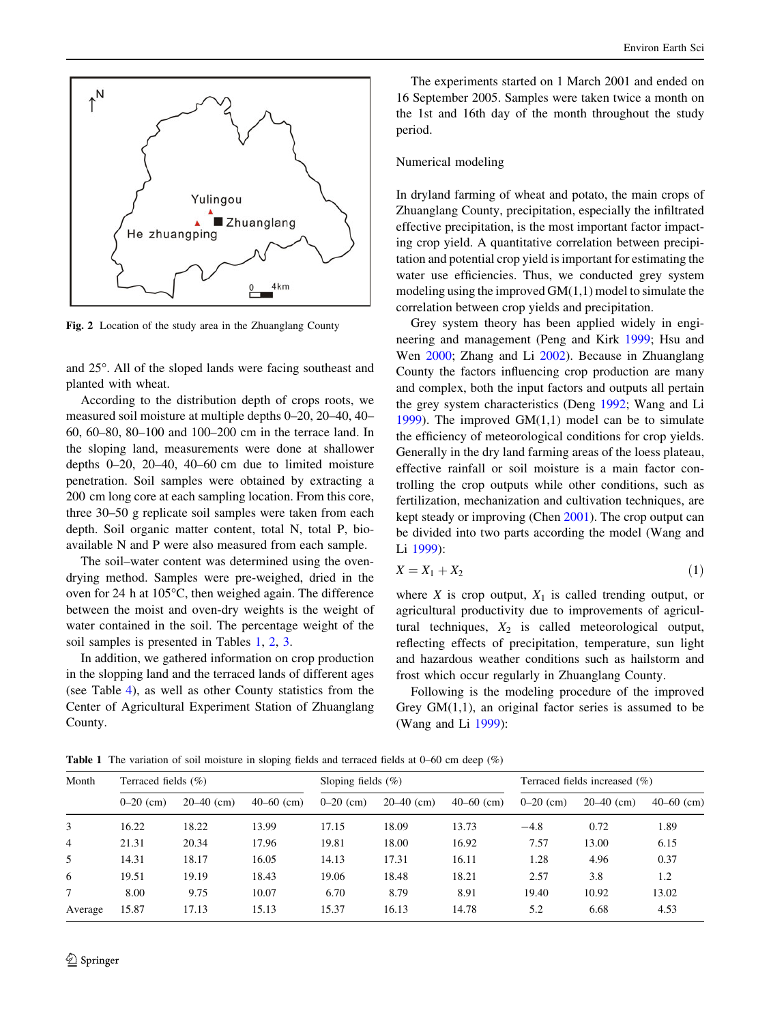<span id="page-3-0"></span>

Fig. 2 Location of the study area in the Zhuanglang County

and 25°. All of the sloped lands were facing southeast and planted with wheat.

According to the distribution depth of crops roots, we measured soil moisture at multiple depths 0–20, 20–40, 40– 60, 60–80, 80–100 and 100–200 cm in the terrace land. In the sloping land, measurements were done at shallower depths 0–20, 20–40, 40–60 cm due to limited moisture penetration. Soil samples were obtained by extracting a 200 cm long core at each sampling location. From this core, three 30–50 g replicate soil samples were taken from each depth. Soil organic matter content, total N, total P, bioavailable N and P were also measured from each sample.

The soil–water content was determined using the ovendrying method. Samples were pre-weighed, dried in the oven for 24 h at  $105^{\circ}$ C, then weighed again. The difference between the moist and oven-dry weights is the weight of water contained in the soil. The percentage weight of the soil samples is presented in Tables 1, [2,](#page-4-0) [3.](#page-4-0)

In addition, we gathered information on crop production in the slopping land and the terraced lands of different ages (see Table [4](#page-4-0)), as well as other County statistics from the Center of Agricultural Experiment Station of Zhuanglang County.

The experiments started on 1 March 2001 and ended on 16 September 2005. Samples were taken twice a month on the 1st and 16th day of the month throughout the study period.

## Numerical modeling

In dryland farming of wheat and potato, the main crops of Zhuanglang County, precipitation, especially the infiltrated effective precipitation, is the most important factor impacting crop yield. A quantitative correlation between precipitation and potential crop yield is important for estimating the water use efficiencies. Thus, we conducted grey system modeling using the improved  $GM(1,1)$  model to simulate the correlation between crop yields and precipitation.

Grey system theory has been applied widely in engineering and management (Peng and Kirk [1999;](#page-10-0) Hsu and Wen [2000](#page-9-0); Zhang and Li [2002](#page-10-0)). Because in Zhuanglang County the factors influencing crop production are many and complex, both the input factors and outputs all pertain the grey system characteristics (Deng [1992;](#page-9-0) Wang and Li [1999](#page-10-0)). The improved  $GM(1,1)$  model can be to simulate the efficiency of meteorological conditions for crop yields. Generally in the dry land farming areas of the loess plateau, effective rainfall or soil moisture is a main factor controlling the crop outputs while other conditions, such as fertilization, mechanization and cultivation techniques, are kept steady or improving (Chen [2001\)](#page-9-0). The crop output can be divided into two parts according the model (Wang and Li [1999](#page-10-0)):

$$
X = X_1 + X_2 \tag{1}
$$

where X is crop output,  $X_1$  is called trending output, or agricultural productivity due to improvements of agricultural techniques,  $X_2$  is called meteorological output, reflecting effects of precipitation, temperature, sun light and hazardous weather conditions such as hailstorm and frost which occur regularly in Zhuanglang County.

Following is the modeling procedure of the improved Grey  $GM(1,1)$ , an original factor series is assumed to be (Wang and Li [1999\)](#page-10-0):

Table 1 The variation of soil moisture in sloping fields and terraced fields at 0–60 cm deep (%)

| Month          | Terraced fields $(\% )$ |              |              | Sloping fields $(\%)$ |              |              | Terraced fields increased $(\%)$ |              |              |
|----------------|-------------------------|--------------|--------------|-----------------------|--------------|--------------|----------------------------------|--------------|--------------|
|                | $0-20$ (cm)             | $20-40$ (cm) | $40-60$ (cm) | $0-20$ (cm)           | $20-40$ (cm) | $40-60$ (cm) | $0 - 20$ (cm)                    | $20-40$ (cm) | $40-60$ (cm) |
| 3              | 16.22                   | 18.22        | 13.99        | 17.15                 | 18.09        | 13.73        | $-4.8$                           | 0.72         | 1.89         |
| $\overline{4}$ | 21.31                   | 20.34        | 17.96        | 19.81                 | 18.00        | 16.92        | 7.57                             | 13.00        | 6.15         |
| 5              | 14.31                   | 18.17        | 16.05        | 14.13                 | 17.31        | 16.11        | 1.28                             | 4.96         | 0.37         |
| 6              | 19.51                   | 19.19        | 18.43        | 19.06                 | 18.48        | 18.21        | 2.57                             | 3.8          | 1.2          |
|                | 8.00                    | 9.75         | 10.07        | 6.70                  | 8.79         | 8.91         | 19.40                            | 10.92        | 13.02        |
| Average        | 15.87                   | 17.13        | 15.13        | 15.37                 | 16.13        | 14.78        | 5.2                              | 6.68         | 4.53         |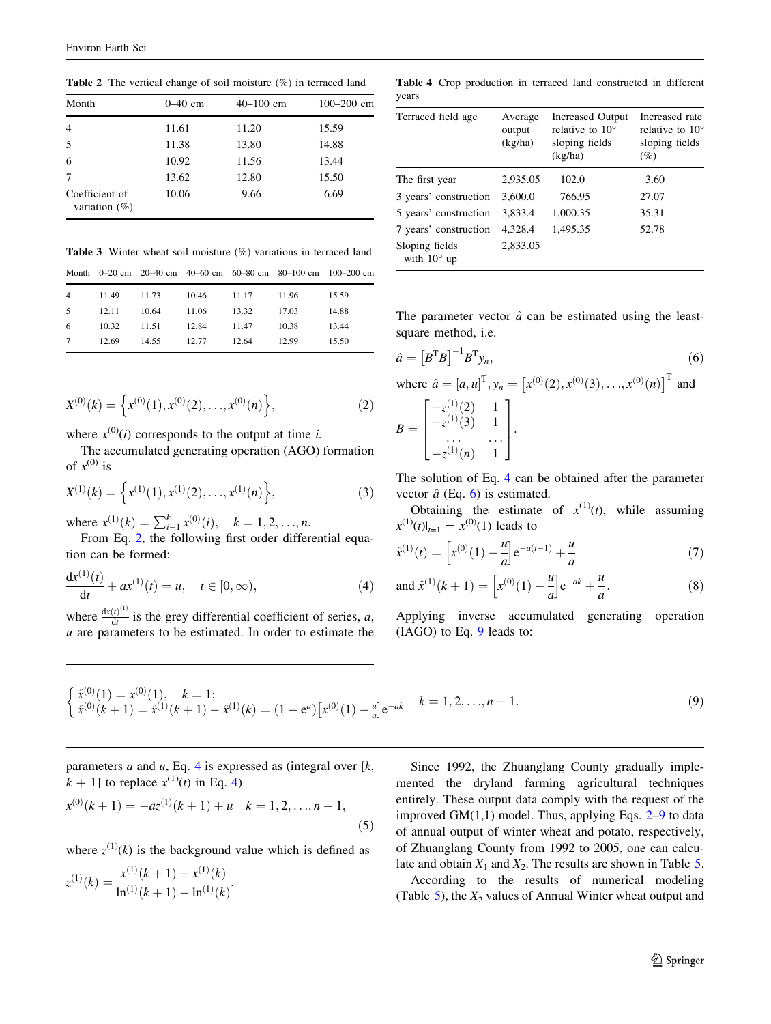<span id="page-4-0"></span>Table 2 The vertical change of soil moisture (%) in terraced land

| Month                              | $0 - 40$ cm | $40 - 100$ cm | $100 - 200$ cm |
|------------------------------------|-------------|---------------|----------------|
| 4                                  | 11.61       | 11.20         | 15.59          |
| 5                                  | 11.38       | 13.80         | 14.88          |
| 6                                  | 10.92       | 11.56         | 13.44          |
|                                    | 13.62       | 12.80         | 15.50          |
| Coefficient of<br>variation $(\%)$ | 10.06       | 9.66          | 6.69           |

Table 3 Winter wheat soil moisture (%) variations in terraced land

|                 |       |       |       |       | Month $0-20$ cm $20-40$ cm $40-60$ cm $60-80$ cm $80-100$ cm $100-200$ cm |       |
|-----------------|-------|-------|-------|-------|---------------------------------------------------------------------------|-------|
| $\overline{4}$  | 11.49 | 11.73 | 10.46 | 11.17 | 11.96                                                                     | 15.59 |
| -5              | 12.11 | 10.64 | 11.06 | 13.32 | 17.03                                                                     | 14.88 |
| -6              | 10.32 | 11.51 | 12.84 | 11.47 | 10.38                                                                     | 13.44 |
| $7\phantom{.0}$ | 12.69 | 14.55 | 12.77 | 12.64 | 12.99                                                                     | 15.50 |

$$
X^{(0)}(k) = \left\{ x^{(0)}(1), x^{(0)}(2), \dots, x^{(0)}(n) \right\},\tag{2}
$$

where  $x^{(0)}(i)$  corresponds to the output at time *i*.

The accumulated generating operation (AGO) formation of  $x^{(0)}$  is

$$
X^{(1)}(k) = \left\{ x^{(1)}(1), x^{(1)}(2), \dots, x^{(1)}(n) \right\},\tag{3}
$$

where  $x^{(1)}(k) = \sum_{i=1}^{k} x^{(0)}(i)$ ,  $k = 1, 2, ..., n$ .

From Eq. [2,](#page-3-0) the following first order differential equation can be formed:

$$
\frac{dx^{(1)}(t)}{dt} + ax^{(1)}(t) = u, \quad t \in [0, \infty),
$$
\n(4)

where  $\frac{dx(t)^{(1)}}{dt}$  is the grey differential coefficient of series, a,  $u$  are parameters to be estimated. In order to estimate the

Table 4 Crop production in terraced land constructed in different years

| Terraced field age                     | Average<br>output<br>(kg/ha) | <b>Increased Output</b><br>relative to $10^{\circ}$<br>sloping fields<br>(kg/ha) | Increased rate<br>relative to $10^{\circ}$<br>sloping fields<br>(%) |
|----------------------------------------|------------------------------|----------------------------------------------------------------------------------|---------------------------------------------------------------------|
| The first year                         | 2,935.05                     | 102.0                                                                            | 3.60                                                                |
| 3 years' construction                  | 3,600.0                      | 766.95                                                                           | 27.07                                                               |
| 5 years' construction                  | 3,833.4                      | 1,000.35                                                                         | 35.31                                                               |
| 7 years' construction                  | 4,328.4                      | 1,495.35                                                                         | 52.78                                                               |
| Sloping fields<br>with $10^{\circ}$ up | 2,833.05                     |                                                                                  |                                                                     |

The parameter vector  $\hat{a}$  can be estimated using the leastsquare method, i.e.

$$
\hat{a} = [B^{\mathrm{T}}B]^{-1}B^{\mathrm{T}}y_n,
$$
\n(6)

\nwhere  $\hat{a} = [a, u]^{\mathrm{T}}, y_n = [x^{(0)}(2), x^{(0)}(3), \ldots, x^{(0)}(n)]^{\mathrm{T}}$  and

\n
$$
B = \begin{bmatrix} -z^{(1)}(2) & 1 \\ -z^{(1)}(3) & 1 \\ \ldots & \ldots \\ -z^{(1)}(n) & 1 \end{bmatrix}.
$$
\n

The solution of Eq. 4 can be obtained after the parameter vector  $\hat{a}$  (Eq. 6) is estimated.

Obtaining the estimate of  $x^{(1)}(t)$ , while assuming  $x^{(1)}(t)|_{t=1} = x^{(0)}(1)$  leads to

$$
\hat{x}^{(1)}(t) = \left[x^{(0)}(1) - \frac{u}{a}\right] e^{-a(t-1)} + \frac{u}{a}
$$
\n(7)

and 
$$
\hat{x}^{(1)}(k+1) = \left[x^{(0)}(1) - \frac{u}{a}\right]e^{-ak} + \frac{u}{a}.
$$
 (8)

Applying inverse accumulated generating operation (IAGO) to Eq. 9 leads to:

$$
\begin{cases}\n\hat{x}^{(0)}(1) = x^{(0)}(1), & k = 1; \\
\hat{x}^{(0)}(k+1) = \hat{x}^{(1)}(k+1) - \hat{x}^{(1)}(k) = (1 - e^a) \left[ x^{(0)}(1) - \frac{u}{a} \right] e^{-ak} & k = 1, 2, \dots, n-1.\n\end{cases}
$$
\n(9)

parameters  $a$  and  $u$ , Eq. 4 is expressed as (integral over [ $k$ ,  $k + 1$ ] to replace  $x^{(1)}(t)$  in Eq. 4)

$$
x^{(0)}(k+1) = -az^{(1)}(k+1) + u \quad k = 1, 2, ..., n-1,
$$
\n(5)

where  $z^{(1)}(k)$  is the background value which is defined as

$$
z^{(1)}(k) = \frac{x^{(1)}(k+1) - x^{(1)}(k)}{\ln^{(1)}(k+1) - \ln^{(1)}(k)}.
$$

Since 1992, the Zhuanglang County gradually implemented the dryland farming agricultural techniques entirely. These output data comply with the request of the improved  $GM(1,1)$  model. Thus, applying Eqs. [2](#page-3-0)–9 to data of annual output of winter wheat and potato, respectively, of Zhuanglang County from 1992 to 2005, one can calculate and obtain  $X_1$  and  $X_2$ . The results are shown in Table [5.](#page-5-0)

According to the results of numerical modeling (Table [5\)](#page-5-0), the  $X_2$  values of Annual Winter wheat output and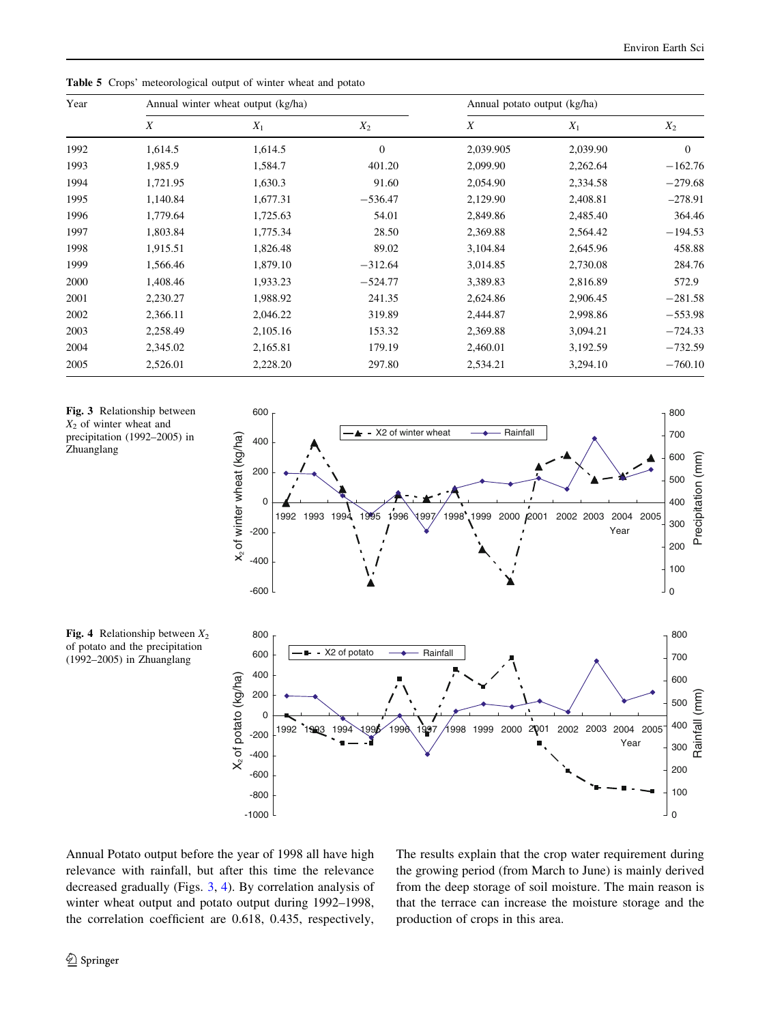| Year |          | Annual winter wheat output (kg/ha) |           | Annual potato output (kg/ha) |          |           |  |  |
|------|----------|------------------------------------|-----------|------------------------------|----------|-----------|--|--|
|      | X        | $X_1$                              | $X_2$     | X                            | $X_1$    | $X_2$     |  |  |
| 1992 | 1,614.5  | 1,614.5                            | $\Omega$  | 2,039.905                    | 2,039.90 | $\Omega$  |  |  |
| 1993 | 1,985.9  | 1,584.7                            | 401.20    | 2,099.90                     | 2,262.64 | $-162.76$ |  |  |
| 1994 | 1,721.95 | 1,630.3                            | 91.60     | 2,054.90                     | 2,334.58 | $-279.68$ |  |  |
| 1995 | 1,140.84 | 1,677.31                           | $-536.47$ | 2,129.90                     | 2,408.81 | $-278.91$ |  |  |
| 1996 | 1,779.64 | 1,725.63                           | 54.01     | 2,849.86                     | 2,485.40 | 364.46    |  |  |
| 1997 | 1,803.84 | 1,775.34                           | 28.50     | 2,369.88                     | 2,564.42 | $-194.53$ |  |  |
| 1998 | 1,915.51 | 1,826.48                           | 89.02     | 3,104.84                     | 2,645.96 | 458.88    |  |  |
| 1999 | 1,566.46 | 1,879.10                           | $-312.64$ | 3,014.85                     | 2,730.08 | 284.76    |  |  |
| 2000 | 1,408.46 | 1,933.23                           | $-524.77$ | 3,389.83                     | 2,816.89 | 572.9     |  |  |
| 2001 | 2,230.27 | 1,988.92                           | 241.35    | 2,624.86                     | 2,906.45 | $-281.58$ |  |  |
| 2002 | 2,366.11 | 2,046.22                           | 319.89    | 2,444.87                     | 2,998.86 | $-553.98$ |  |  |
| 2003 | 2,258.49 | 2,105.16                           | 153.32    | 2,369.88                     | 3,094.21 | $-724.33$ |  |  |
| 2004 | 2,345.02 | 2,165.81                           | 179.19    | 2,460.01                     | 3,192.59 | $-732.59$ |  |  |
| 2005 | 2,526.01 | 2,228.20                           | 297.80    | 2,534.21                     | 3,294.10 | $-760.10$ |  |  |

<span id="page-5-0"></span>Table 5 Crops' meteorological output of winter wheat and potato

Fig. 3 Relationship between  $X_2$  of winter wheat and precipitation (1992–2005) in Zhuanglang



Fig. 4 Relationship between  $X_2$ of potato and the precipitation (1992–2005) in Zhuanglang

Annual Potato output before the year of 1998 all have high relevance with rainfall, but after this time the relevance decreased gradually (Figs. 3, 4). By correlation analysis of winter wheat output and potato output during 1992–1998, the correlation coefficient are 0.618, 0.435, respectively, The results explain that the crop water requirement during the growing period (from March to June) is mainly derived from the deep storage of soil moisture. The main reason is that the terrace can increase the moisture storage and the production of crops in this area.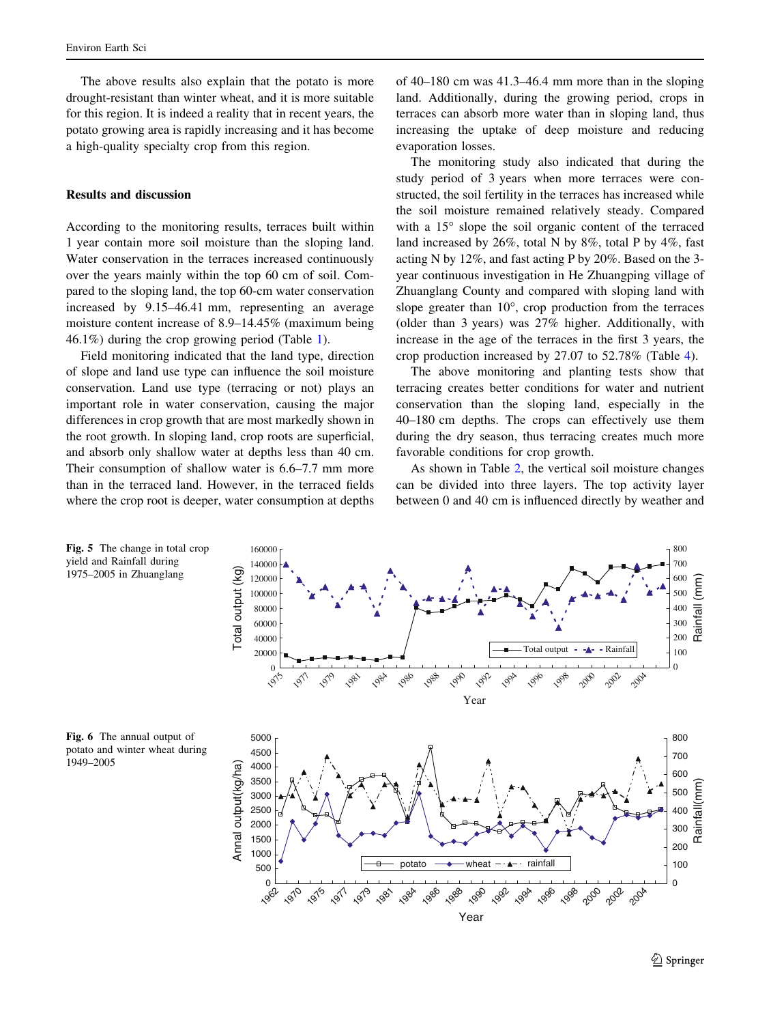<span id="page-6-0"></span>The above results also explain that the potato is more drought-resistant than winter wheat, and it is more suitable for this region. It is indeed a reality that in recent years, the potato growing area is rapidly increasing and it has become a high-quality specialty crop from this region.

## Results and discussion

According to the monitoring results, terraces built within 1 year contain more soil moisture than the sloping land. Water conservation in the terraces increased continuously over the years mainly within the top 60 cm of soil. Compared to the sloping land, the top 60-cm water conservation increased by 9.15–46.41 mm, representing an average moisture content increase of 8.9–14.45% (maximum being 46.1%) during the crop growing period (Table [1\)](#page-3-0).

Field monitoring indicated that the land type, direction of slope and land use type can influence the soil moisture conservation. Land use type (terracing or not) plays an important role in water conservation, causing the major differences in crop growth that are most markedly shown in the root growth. In sloping land, crop roots are superficial, and absorb only shallow water at depths less than 40 cm. Their consumption of shallow water is 6.6–7.7 mm more than in the terraced land. However, in the terraced fields where the crop root is deeper, water consumption at depths of 40–180 cm was 41.3–46.4 mm more than in the sloping land. Additionally, during the growing period, crops in terraces can absorb more water than in sloping land, thus increasing the uptake of deep moisture and reducing evaporation losses.

The monitoring study also indicated that during the study period of 3 years when more terraces were constructed, the soil fertility in the terraces has increased while the soil moisture remained relatively steady. Compared with a  $15^{\circ}$  slope the soil organic content of the terraced land increased by 26%, total N by 8%, total P by 4%, fast acting N by 12%, and fast acting P by 20%. Based on the 3 year continuous investigation in He Zhuangping village of Zhuanglang County and compared with sloping land with slope greater than  $10^{\circ}$ , crop production from the terraces (older than 3 years) was 27% higher. Additionally, with increase in the age of the terraces in the first 3 years, the crop production increased by 27.07 to 52.78% (Table [4\)](#page-4-0).

The above monitoring and planting tests show that terracing creates better conditions for water and nutrient conservation than the sloping land, especially in the 40–180 cm depths. The crops can effectively use them during the dry season, thus terracing creates much more favorable conditions for crop growth.

As shown in Table [2,](#page-4-0) the vertical soil moisture changes can be divided into three layers. The top activity layer between 0 and 40 cm is influenced directly by weather and



Fig. 6 The annual output of potato and winter wheat during 1949–2005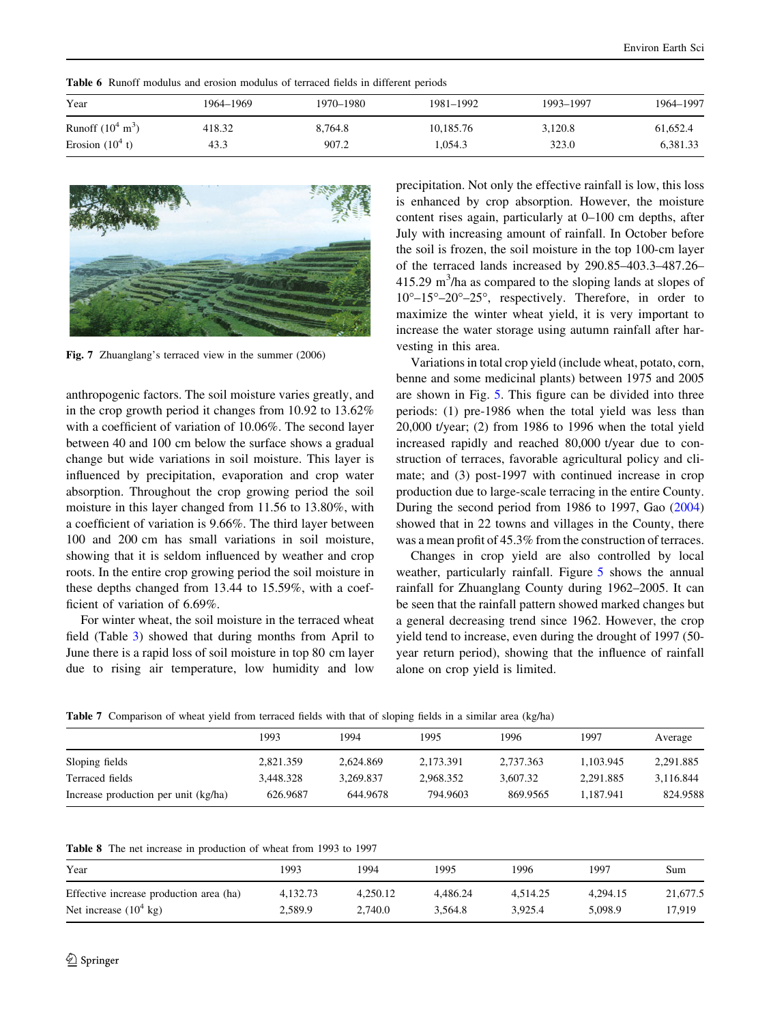| <b>Table 0</b> Kunon modulus and croston modulus of terraced neigs in unferent periods |           |           |           |           |           |  |  |  |
|----------------------------------------------------------------------------------------|-----------|-----------|-----------|-----------|-----------|--|--|--|
| Year                                                                                   | 1964–1969 | 1970–1980 | 1981–1992 | 1993-1997 | 1964-1997 |  |  |  |
| Runoff $(10^4 \text{ m}^3)$                                                            | 418.32    | 8.764.8   | 10.185.76 | 3,120.8   | 61,652.4  |  |  |  |
| Erosion $(10^4 t)$                                                                     | 43.3      | 907.2     | 1.054.3   | 323.0     | 6,381.33  |  |  |  |

<span id="page-7-0"></span>Table 6 Runoff modulus and erosion modulus of terraced fields in different periods



Fig. 7 Zhuanglang's terraced view in the summer (2006)

anthropogenic factors. The soil moisture varies greatly, and in the crop growth period it changes from 10.92 to 13.62% with a coefficient of variation of 10.06%. The second layer between 40 and 100 cm below the surface shows a gradual change but wide variations in soil moisture. This layer is influenced by precipitation, evaporation and crop water absorption. Throughout the crop growing period the soil moisture in this layer changed from 11.56 to 13.80%, with a coefficient of variation is 9.66%. The third layer between 100 and 200 cm has small variations in soil moisture, showing that it is seldom influenced by weather and crop roots. In the entire crop growing period the soil moisture in these depths changed from 13.44 to 15.59%, with a coefficient of variation of 6.69%.

For winter wheat, the soil moisture in the terraced wheat field (Table [3](#page-4-0)) showed that during months from April to June there is a rapid loss of soil moisture in top 80 cm layer due to rising air temperature, low humidity and low precipitation. Not only the effective rainfall is low, this loss is enhanced by crop absorption. However, the moisture content rises again, particularly at 0–100 cm depths, after July with increasing amount of rainfall. In October before the soil is frozen, the soil moisture in the top 100-cm layer of the terraced lands increased by 290.85–403.3–487.26– 415.29 m<sup>3</sup>/ha as compared to the sloping lands at slopes of  $10^{\circ}-15^{\circ}-20^{\circ}-25^{\circ}$ , respectively. Therefore, in order to maximize the winter wheat yield, it is very important to increase the water storage using autumn rainfall after harvesting in this area.

Variations in total crop yield (include wheat, potato, corn, benne and some medicinal plants) between 1975 and 2005 are shown in Fig. [5.](#page-6-0) This figure can be divided into three periods: (1) pre-1986 when the total yield was less than 20,000 t/year; (2) from 1986 to 1996 when the total yield increased rapidly and reached 80,000 t/year due to construction of terraces, favorable agricultural policy and climate; and (3) post-1997 with continued increase in crop production due to large-scale terracing in the entire County. During the second period from 1986 to 1997, Gao ([2004\)](#page-9-0) showed that in 22 towns and villages in the County, there was a mean profit of 45.3% from the construction of terraces.

Changes in crop yield are also controlled by local weather, particularly rainfall. Figure [5](#page-6-0) shows the annual rainfall for Zhuanglang County during 1962–2005. It can be seen that the rainfall pattern showed marked changes but a general decreasing trend since 1962. However, the crop yield tend to increase, even during the drought of 1997 (50 year return period), showing that the influence of rainfall alone on crop yield is limited.

Table 7 Comparison of wheat yield from terraced fields with that of sloping fields in a similar area (kg/ha)

|                                      | 1993      | 1994      | 1995      | 1996      | 1997      | Average   |
|--------------------------------------|-----------|-----------|-----------|-----------|-----------|-----------|
| Sloping fields                       | 2.821.359 | 2.624.869 | 2,173.391 | 2.737.363 | 1.103.945 | 2,291.885 |
| Terraced fields                      | 3.448.328 | 3.269.837 | 2,968.352 | 3.607.32  | 2.291.885 | 3,116.844 |
| Increase production per unit (kg/ha) | 626.9687  | 644.9678  | 794.9603  | 869.9565  | 1.187.941 | 824.9588  |

Table 8 The net increase in production of wheat from 1993 to 1997

| Year                                    | 1993     | 1994     | 1995     | 1996     | 1997     | Sum      |
|-----------------------------------------|----------|----------|----------|----------|----------|----------|
| Effective increase production area (ha) | 4.132.73 | 4.250.12 | 4.486.24 | 4.514.25 | 4.294.15 | 21,677.5 |
| Net increase $(10^4 \text{ kg})$        | 2.589.9  | 2.740.0  | 3.564.8  | 3.925.4  | 5.098.9  | 17.919   |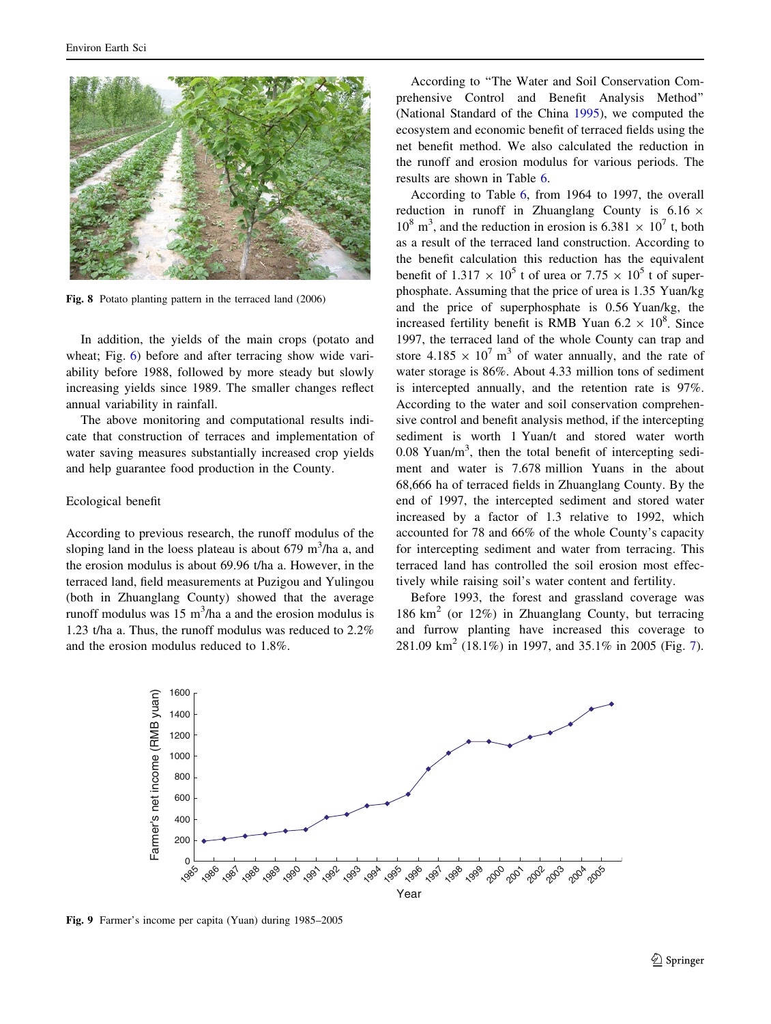<span id="page-8-0"></span>

Fig. 8 Potato planting pattern in the terraced land (2006)

In addition, the yields of the main crops (potato and wheat; Fig. [6\)](#page-6-0) before and after terracing show wide variability before 1988, followed by more steady but slowly increasing yields since 1989. The smaller changes reflect annual variability in rainfall.

The above monitoring and computational results indicate that construction of terraces and implementation of water saving measures substantially increased crop yields and help guarantee food production in the County.

### Ecological benefit

According to previous research, the runoff modulus of the sloping land in the loess plateau is about  $679 \text{ m}^3/\text{ha}$  a, and the erosion modulus is about 69.96 t/ha a. However, in the terraced land, field measurements at Puzigou and Yulingou (both in Zhuanglang County) showed that the average runoff modulus was  $15 \text{ m}^3/\text{ha}$  a and the erosion modulus is 1.23 t/ha a. Thus, the runoff modulus was reduced to 2.2% and the erosion modulus reduced to 1.8%.

According to ''The Water and Soil Conservation Comprehensive Control and Benefit Analysis Method'' (National Standard of the China [1995](#page-10-0)), we computed the ecosystem and economic benefit of terraced fields using the net benefit method. We also calculated the reduction in the runoff and erosion modulus for various periods. The results are shown in Table [6.](#page-7-0)

According to Table [6,](#page-7-0) from 1964 to 1997, the overall reduction in runoff in Zhuanglang County is  $6.16 \times$  $10^8$  m<sup>3</sup>, and the reduction in erosion is 6.381  $\times$  10<sup>7</sup> t, both as a result of the terraced land construction. According to the benefit calculation this reduction has the equivalent benefit of  $1.317 \times 10^5$  t of urea or  $7.75 \times 10^5$  t of superphosphate. Assuming that the price of urea is 1.35 Yuan/kg and the price of superphosphate is 0.56 Yuan/kg, the increased fertility benefit is RMB Yuan  $6.2 \times 10^8$ . Since 1997, the terraced land of the whole County can trap and store  $4.185 \times 10^7$  m<sup>3</sup> of water annually, and the rate of water storage is 86%. About 4.33 million tons of sediment is intercepted annually, and the retention rate is 97%. According to the water and soil conservation comprehensive control and benefit analysis method, if the intercepting sediment is worth 1 Yuan/t and stored water worth  $0.08$  Yuan/m<sup>3</sup>, then the total benefit of intercepting sediment and water is 7.678 million Yuans in the about 68,666 ha of terraced fields in Zhuanglang County. By the end of 1997, the intercepted sediment and stored water increased by a factor of 1.3 relative to 1992, which accounted for 78 and 66% of the whole County's capacity for intercepting sediment and water from terracing. This terraced land has controlled the soil erosion most effectively while raising soil's water content and fertility.

Before 1993, the forest and grassland coverage was 186 km<sup>2</sup> (or 12%) in Zhuanglang County, but terracing and furrow planting have increased this coverage to 281.09 km<sup>2</sup> (18.1%) in 1997, and 35.1% in 2005 (Fig. [7](#page-7-0)).



Fig. 9 Farmer's income per capita (Yuan) during 1985–2005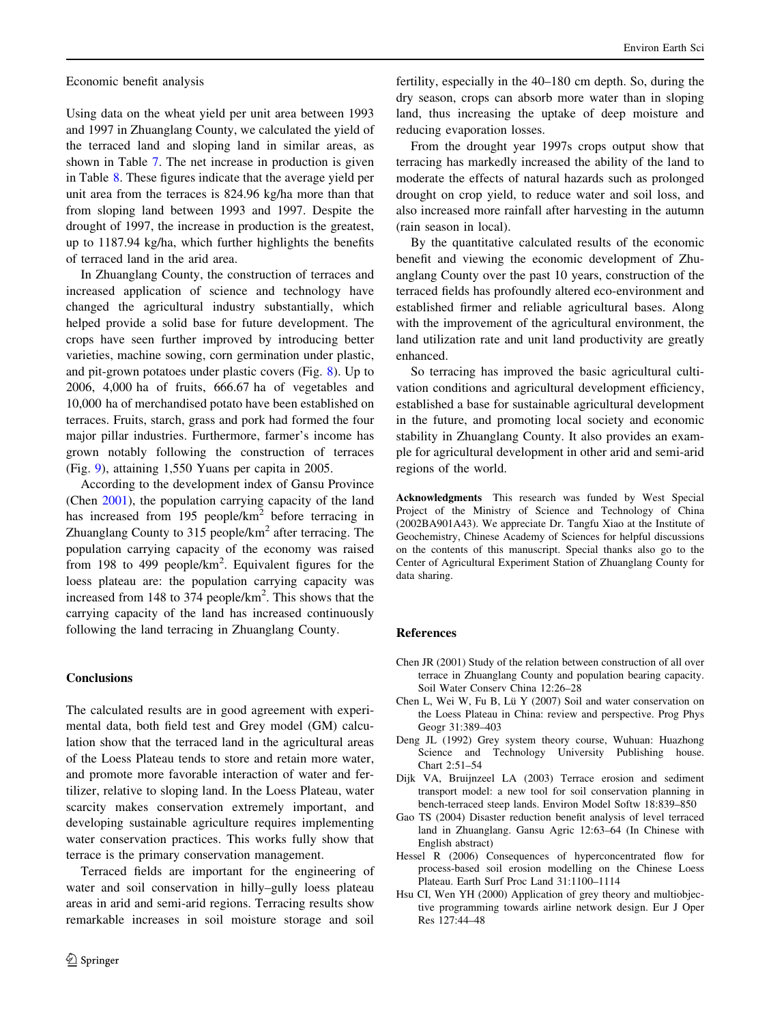<span id="page-9-0"></span>Economic benefit analysis

Using data on the wheat yield per unit area between 1993 and 1997 in Zhuanglang County, we calculated the yield of the terraced land and sloping land in similar areas, as shown in Table [7.](#page-7-0) The net increase in production is given in Table [8](#page-7-0). These figures indicate that the average yield per unit area from the terraces is 824.96 kg/ha more than that from sloping land between 1993 and 1997. Despite the drought of 1997, the increase in production is the greatest, up to 1187.94 kg/ha, which further highlights the benefits of terraced land in the arid area.

In Zhuanglang County, the construction of terraces and increased application of science and technology have changed the agricultural industry substantially, which helped provide a solid base for future development. The crops have seen further improved by introducing better varieties, machine sowing, corn germination under plastic, and pit-grown potatoes under plastic covers (Fig. [8\)](#page-8-0). Up to 2006, 4,000 ha of fruits, 666.67 ha of vegetables and 10,000 ha of merchandised potato have been established on terraces. Fruits, starch, grass and pork had formed the four major pillar industries. Furthermore, farmer's income has grown notably following the construction of terraces (Fig. [9](#page-8-0)), attaining 1,550 Yuans per capita in 2005.

According to the development index of Gansu Province (Chen 2001), the population carrying capacity of the land has increased from 195 people/ $km^2$  before terracing in Zhuanglang County to 315 people/ $km<sup>2</sup>$  after terracing. The population carrying capacity of the economy was raised from 198 to 499 people/ $km^2$ . Equivalent figures for the loess plateau are: the population carrying capacity was increased from 148 to 374 people/ $km<sup>2</sup>$ . This shows that the carrying capacity of the land has increased continuously following the land terracing in Zhuanglang County.

## **Conclusions**

The calculated results are in good agreement with experimental data, both field test and Grey model (GM) calculation show that the terraced land in the agricultural areas of the Loess Plateau tends to store and retain more water, and promote more favorable interaction of water and fertilizer, relative to sloping land. In the Loess Plateau, water scarcity makes conservation extremely important, and developing sustainable agriculture requires implementing water conservation practices. This works fully show that terrace is the primary conservation management.

Terraced fields are important for the engineering of water and soil conservation in hilly–gully loess plateau areas in arid and semi-arid regions. Terracing results show remarkable increases in soil moisture storage and soil

fertility, especially in the 40–180 cm depth. So, during the dry season, crops can absorb more water than in sloping land, thus increasing the uptake of deep moisture and reducing evaporation losses.

From the drought year 1997s crops output show that terracing has markedly increased the ability of the land to moderate the effects of natural hazards such as prolonged drought on crop yield, to reduce water and soil loss, and also increased more rainfall after harvesting in the autumn (rain season in local).

By the quantitative calculated results of the economic benefit and viewing the economic development of Zhuanglang County over the past 10 years, construction of the terraced fields has profoundly altered eco-environment and established firmer and reliable agricultural bases. Along with the improvement of the agricultural environment, the land utilization rate and unit land productivity are greatly enhanced.

So terracing has improved the basic agricultural cultivation conditions and agricultural development efficiency, established a base for sustainable agricultural development in the future, and promoting local society and economic stability in Zhuanglang County. It also provides an example for agricultural development in other arid and semi-arid regions of the world.

Acknowledgments This research was funded by West Special Project of the Ministry of Science and Technology of China (2002BA901A43). We appreciate Dr. Tangfu Xiao at the Institute of Geochemistry, Chinese Academy of Sciences for helpful discussions on the contents of this manuscript. Special thanks also go to the Center of Agricultural Experiment Station of Zhuanglang County for data sharing.

### References

- Chen JR (2001) Study of the relation between construction of all over terrace in Zhuanglang County and population bearing capacity. Soil Water Conserv China 12:26–28
- Chen L, Wei W, Fu B, Lü Y (2007) Soil and water conservation on the Loess Plateau in China: review and perspective. Prog Phys Geogr 31:389–403
- Deng JL (1992) Grey system theory course, Wuhuan: Huazhong Science and Technology University Publishing house. Chart 2:51–54
- Dijk VA, Bruijnzeel LA (2003) Terrace erosion and sediment transport model: a new tool for soil conservation planning in bench-terraced steep lands. Environ Model Softw 18:839–850
- Gao TS (2004) Disaster reduction benefit analysis of level terraced land in Zhuanglang. Gansu Agric 12:63–64 (In Chinese with English abstract)
- Hessel R (2006) Consequences of hyperconcentrated flow for process-based soil erosion modelling on the Chinese Loess Plateau. Earth Surf Proc Land 31:1100–1114
- Hsu CI, Wen YH (2000) Application of grey theory and multiobjective programming towards airline network design. Eur J Oper Res 127:44–48